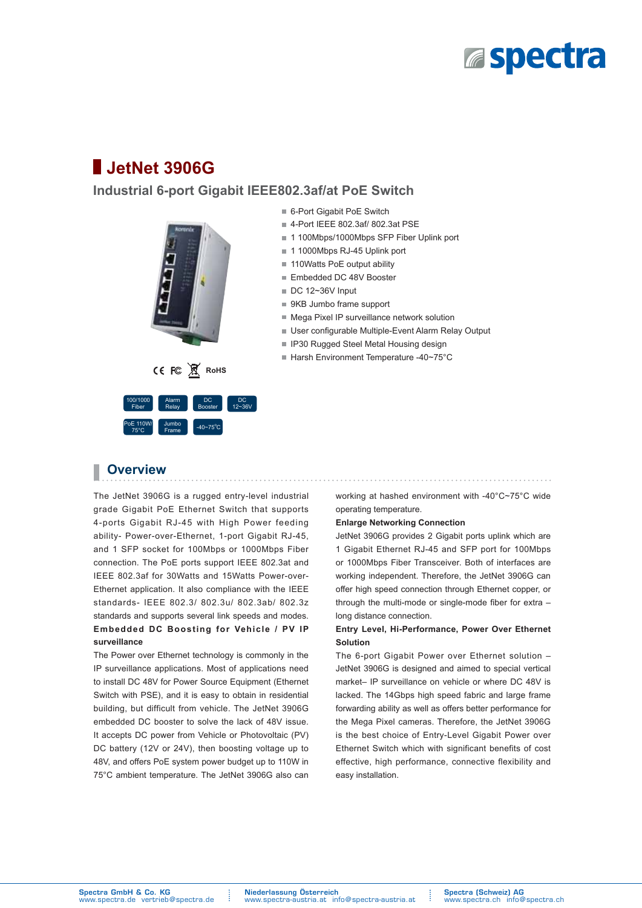

# **JetNet 3906G**

## **Industrial 6-port Gigabit IEEE802.3af/at PoE Switch**



- 6-Port Gigabit PoE Switch
- 4-Port IEEE 802.3af/ 802.3at PSE
- 1 100Mbps/1000Mbps SFP Fiber Uplink port
- 1 1000Mbps RJ-45 Uplink port
- 110Watts PoE output ability
- Embedded DC 48V Booster
- $\Box$  DC 12~36V Input
- 9KB Jumbo frame support
- Mega Pixel IP surveillance network solution
- $\blacksquare$  User configurable Multiple-Event Alarm Relay Output
- IP30 Rugged Steel Metal Housing design
- Harsh Environment Temperature -40~75°C

## **Overview**

The JetNet 3906G is a rugged entry-level industrial grade Gigabit PoE Ethernet Switch that supports 4-ports Gigabit RJ-45 with High Power feeding ability- Power-over-Ethernet, 1-port Gigabit RJ-45, and 1 SFP socket for 100Mbps or 1000Mbps Fiber connection. The PoE ports support IEEE 802.3at and IEEE 802.3af for 30Watts and 15Watts Power-over-Ethernet application. It also compliance with the IEEE standards- IEEE 802.3/ 802.3u/ 802.3ab/ 802.3z standards and supports several link speeds and modes. **Embedded DC Boosting for Vehicle / PV IP surveillance**

The Power over Ethernet technology is commonly in the IP surveillance applications. Most of applications need to install DC 48V for Power Source Equipment (Ethernet Switch with PSE), and it is easy to obtain in residential building, but difficult from vehicle. The JetNet 3906G embedded DC booster to solve the lack of 48V issue. It accepts DC power from Vehicle or Photovoltaic (PV) DC battery (12V or 24V), then boosting voltage up to 48V, and offers PoE system power budget up to 110W in 75°C ambient temperature. The JetNet 3906G also can

working at hashed environment with -40°C~75°C wide operating temperature.

### **Enlarge Networking Connection**

JetNet 3906G provides 2 Gigabit ports uplink which are 1 Gigabit Ethernet RJ-45 and SFP port for 100Mbps or 1000Mbps Fiber Transceiver. Both of interfaces are working independent. Therefore, the JetNet 3906G can offer high speed connection through Ethernet copper, or through the multi-mode or single-mode fiber for extra  $$ long distance connection.

### **Entry Level, Hi-Performance, Power Over Ethernet Solution**

The 6-port Gigabit Power over Ethernet solution  $-$ JetNet 3906G is designed and aimed to special vertical market- IP surveillance on vehicle or where DC 48V is lacked. The 14Gbps high speed fabric and large frame forwarding ability as well as offers better performance for the Mega Pixel cameras. Therefore, the JetNet 3906G is the best choice of Entry-Level Gigabit Power over Ethernet Switch which with significant benefits of cost effective, high performance, connective flexibility and easy installation.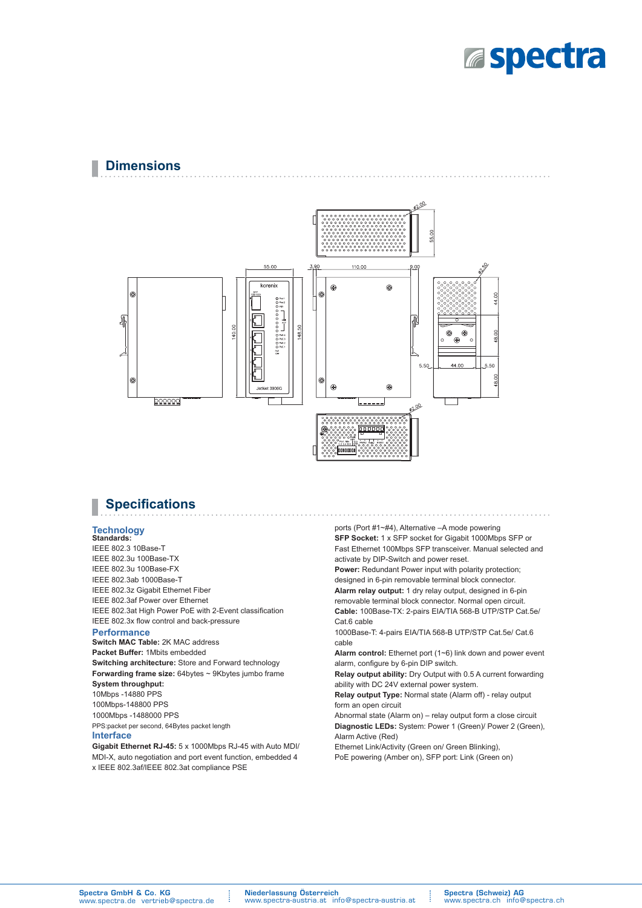

## **Dimensions**



## **Specifications**

#### **Technology Standards:**

IEEE 802.3 10Base-T IEEE 802.3u 100Base-TX IEEE 802.3u 100Base-FX IEEE 802.3ab 1000Base-T IEEE 802.3z Gigabit Ethernet Fiber IEEE 802.3af Power over Ethernet IEEE 802.3at High Power PoE with 2-Event classification IEEE 802.3x flow control and back-pressure

### **Performance**

**Switch MAC Table:** 2K MAC address **Packet Buffer:** 1Mbits embedded **Switching architecture:** Store and Forward technology **Forwarding frame size:** 64bytes ~ 9Kbytes jumbo frame **System throughput:**  10Mbps -14880 PPS 100Mbps-148800 PPS 1000Mbps -1488000 PPS PPS:packet per second, 64Bytes packet length **Interface**

**Gigabit Ethernet RJ-45:** 5 x 1000Mbps RJ-45 with Auto MDI/ MDI-X, auto negotiation and port event function, embedded 4 x IEEE 802.3af/IEEE 802.3at compliance PSE

norts (Port  $\#1 \sim \#4$ ) Alternative  $-A$  mode nowering **SFP Socket:** 1 x SFP socket for Gigabit 1000Mbps SFP or Fast Ethernet 100Mbps SFP transceiver. Manual selected and

activate by DIP-Switch and power reset. **Power:** Redundant Power input with polarity protection; designed in 6-pin removable terminal block connector.

**Alarm relay output:** 1 dry relay output, designed in 6-pin removable terminal block connector. Normal open circuit. **Cable:** 100Base-TX: 2-pairs EIA/TIA 568-B UTP/STP Cat.5e/ Cat.6 cable

1000Base-T: 4-pairs EIA/TIA 568-B UTP/STP Cat.5e/ Cat.6 cable

**Alarm control:** Ethernet port (1~6) link down and power event alarm, configure by 6-pin DIP switch.

**Relay output ability:** Dry Output with 0.5 A current forwarding ability with DC 24V external power system.

**Relay output Type:** Normal state (Alarm off) - relay output form an open circuit

Abnormal state (Alarm on) - relay output form a close circuit **Diagnostic LEDs:** System: Power 1 (Green)/ Power 2 (Green), Alarm Active (Red)

Ethernet Link/Activity (Green on/ Green Blinking), PoE powering (Amber on), SFP port: Link (Green on)